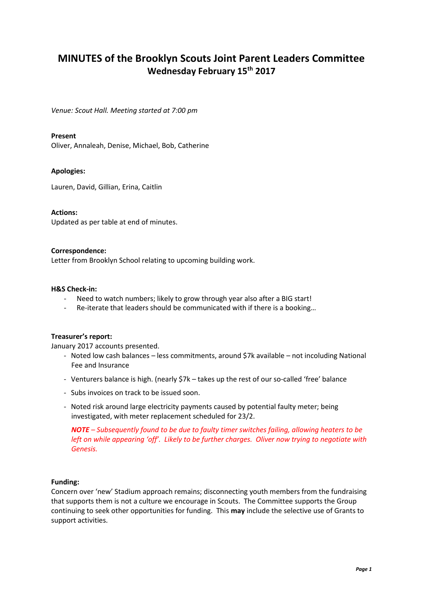# **MINUTES of the Brooklyn Scouts Joint Parent Leaders Committee Wednesday February 15th 2017**

*Venue: Scout Hall. Meeting started at 7:00 pm*

## **Present**

Oliver, Annaleah, Denise, Michael, Bob, Catherine

## **Apologies:**

Lauren, David, Gillian, Erina, Caitlin

#### **Actions:**

Updated as per table at end of minutes.

## **Correspondence:**

Letter from Brooklyn School relating to upcoming building work.

#### **H&S Check-in:**

- Need to watch numbers; likely to grow through year also after a BIG start!
- Re-iterate that leaders should be communicated with if there is a booking…

#### **Treasurer's report:**

January 2017 accounts presented.

- Noted low cash balances less commitments, around \$7k available not incoluding National Fee and Insurance
- Venturers balance is high. (nearly \$7k takes up the rest of our so-called 'free' balance
- Subs invoices on track to be issued soon.
- Noted risk around large electricity payments caused by potential faulty meter; being investigated, with meter replacement scheduled for 23/2.

*NOTE – Subsequently found to be due to faulty timer switches failing, allowing heaters to be left on while appearing 'off'. Likely to be further charges. Oliver now trying to negotiate with Genesis.*

#### **Funding:**

Concern over 'new' Stadium approach remains; disconnecting youth members from the fundraising that supports them is not a culture we encourage in Scouts. The Committee supports the Group continuing to seek other opportunities for funding. This **may** include the selective use of Grants to support activities.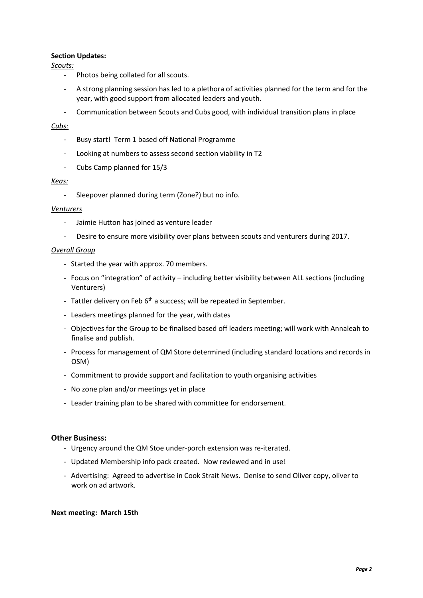## **Section Updates:**

*Scouts:*

- Photos being collated for all scouts.
- A strong planning session has led to a plethora of activities planned for the term and for the year, with good support from allocated leaders and youth.
- Communication between Scouts and Cubs good, with individual transition plans in place

## *Cubs:*

- Busy start! Term 1 based off National Programme
- Looking at numbers to assess second section viability in T2
- Cubs Camp planned for 15/3

## *Keas:*

- Sleepover planned during term (Zone?) but no info.

## *Venturers*

- Jaimie Hutton has joined as venture leader
- Desire to ensure more visibility over plans between scouts and venturers during 2017.

#### *Overall Group*

- Started the year with approx. 70 members.
- Focus on "integration" of activity including better visibility between ALL sections (including Venturers)
- Tattler delivery on Feb  $6<sup>th</sup>$  a success; will be repeated in September.
- Leaders meetings planned for the year, with dates
- Objectives for the Group to be finalised based off leaders meeting; will work with Annaleah to finalise and publish.
- Process for management of QM Store determined (including standard locations and records in OSM)
- Commitment to provide support and facilitation to youth organising activities
- No zone plan and/or meetings yet in place
- Leader training plan to be shared with committee for endorsement.

#### **Other Business:**

- Urgency around the QM Stoe under-porch extension was re-iterated.
- Updated Membership info pack created. Now reviewed and in use!
- Advertising: Agreed to advertise in Cook Strait News. Denise to send Oliver copy, oliver to work on ad artwork.

#### **Next meeting: March 15th**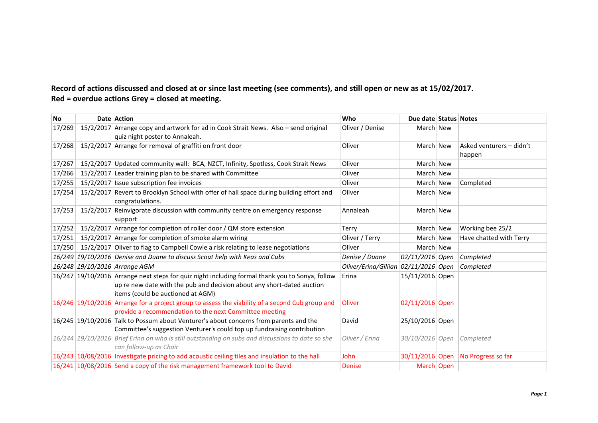## **Record of actions discussed and closed at or since last meeting (see comments), and still open or new as at 15/02/2017. Red = overdue actions Grey = closed at meeting.**

| No     | Date Action                                                                                                                                                                                                    | Who                                  | Due date Status Notes |                                    |
|--------|----------------------------------------------------------------------------------------------------------------------------------------------------------------------------------------------------------------|--------------------------------------|-----------------------|------------------------------------|
| 17/269 | 15/2/2017 Arrange copy and artwork for ad in Cook Strait News. Also - send original<br>quiz night poster to Annaleah.                                                                                          | Oliver / Denise                      | March New             |                                    |
| 17/268 | 15/2/2017 Arrange for removal of graffiti on front door                                                                                                                                                        | Oliver                               | March New             | Asked venturers - didn't<br>happen |
| 17/267 | 15/2/2017 Updated community wall: BCA, NZCT, Infinity, Spotless, Cook Strait News                                                                                                                              | Oliver                               | March New             |                                    |
| 17/266 | 15/2/2017 Leader training plan to be shared with Committee                                                                                                                                                     | Oliver                               | March New             |                                    |
| 17/255 | 15/2/2017 Issue subscription fee invoices                                                                                                                                                                      | Oliver                               | March New             | Completed                          |
| 17/254 | 15/2/2017 Revert to Brooklyn School with offer of hall space during building effort and<br>congratulations.                                                                                                    | Oliver                               | March New             |                                    |
| 17/253 | 15/2/2017 Reinvigorate discussion with community centre on emergency response<br>support                                                                                                                       | Annaleah                             | March New             |                                    |
| 17/252 | 15/2/2017 Arrange for completion of roller door / QM store extension                                                                                                                                           | Terry                                | March New             | Working bee 25/2                   |
| 17/251 | 15/2/2017 Arrange for completion of smoke alarm wiring                                                                                                                                                         | Oliver / Terry                       | March New             | Have chatted with Terry            |
| 17/250 | 15/2/2017 Oliver to flag to Campbell Cowie a risk relating to lease negotiations                                                                                                                               | Oliver                               | March New             |                                    |
|        | 16/249 19/10/2016 Denise and Duane to discuss Scout help with Keas and Cubs                                                                                                                                    | Denise / Duane                       | 02/11/2016 Open       | Completed                          |
|        | 16/248 19/10/2016 Arrange AGM                                                                                                                                                                                  | Oliver/Erina/Gillian 02/11/2016 Open |                       | Completed                          |
|        | 16/247 19/10/2016 Arrange next steps for quiz night including formal thank you to Sonya, follow<br>up re new date with the pub and decision about any short-dated auction<br>items (could be auctioned at AGM) | Erina                                | 15/11/2016 Open       |                                    |
|        | 16/246 19/10/2016 Arrange for a project group to assess the viability of a second Cub group and<br>provide a recommendation to the next Committee meeting                                                      | Oliver                               | 02/11/2016 Open       |                                    |
|        | 16/245 19/10/2016 Talk to Possum about Venturer's about concerns from parents and the<br>Committee's suggestion Venturer's could top up fundraising contribution                                               | David                                | 25/10/2016 Open       |                                    |
|        | 16/244 19/10/2016 Brief Erina on who is still outstanding on subs and discussions to date so she<br>can follow-up as Chair                                                                                     | Oliver / Erina                       | 30/10/2016 Open       | Completed                          |
|        | 16/243 10/08/2016 Investigate pricing to add acoustic ceiling tiles and insulation to the hall                                                                                                                 | <b>John</b>                          | 30/11/2016 Open       | No Progress so far                 |
|        | 16/241 10/08/2016 Send a copy of the risk management framework tool to David                                                                                                                                   | <b>Denise</b>                        | March Open            |                                    |